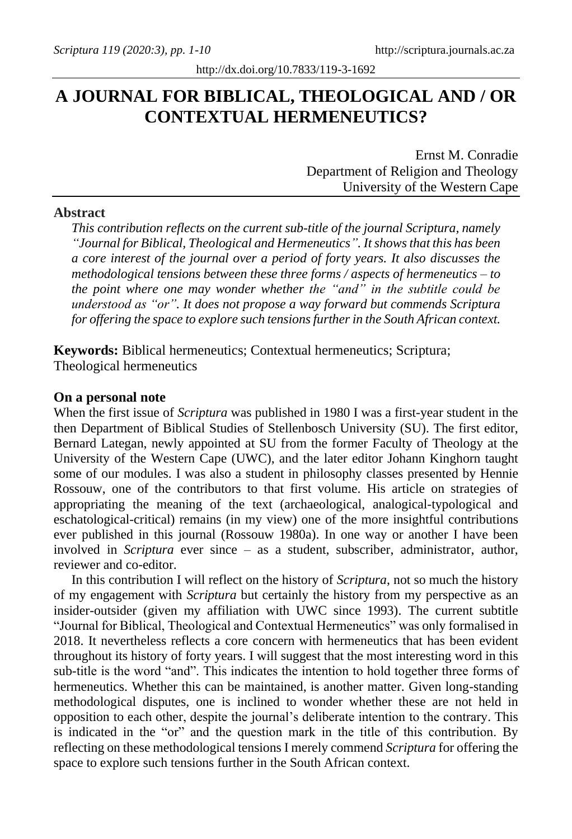# **A JOURNAL FOR BIBLICAL, THEOLOGICAL AND / OR CONTEXTUAL HERMENEUTICS?**

Ernst M. Conradie Department of Religion and Theology University of the Western Cape

### **Abstract**

*This contribution reflects on the current sub-title of the journal Scriptura, namely "Journal for Biblical, Theological and Hermeneutics". It showsthat this has been a core interest of the journal over a period of forty years. It also discusses the methodological tensions between these three forms / aspects of hermeneutics – to the point where one may wonder whether the "and" in the subtitle could be understood as "or". It does not propose a way forward but commends Scriptura for offering the space to explore such tensions further in the South African context.*

**Keywords:** Biblical hermeneutics; Contextual hermeneutics; Scriptura; Theological hermeneutics

#### **On a personal note**

When the first issue of *Scriptura* was published in 1980 I was a first-year student in the then Department of Biblical Studies of Stellenbosch University (SU). The first editor, Bernard Lategan, newly appointed at SU from the former Faculty of Theology at the University of the Western Cape (UWC), and the later editor Johann Kinghorn taught some of our modules. I was also a student in philosophy classes presented by Hennie Rossouw, one of the contributors to that first volume. His article on strategies of appropriating the meaning of the text (archaeological, analogical-typological and eschatological-critical) remains (in my view) one of the more insightful contributions ever published in this journal (Rossouw 1980a). In one way or another I have been involved in *Scriptura* ever since – as a student, subscriber, administrator, author, reviewer and co-editor.

In this contribution I will reflect on the history of *Scriptura*, not so much the history of my engagement with *Scriptura* but certainly the history from my perspective as an insider-outsider (given my affiliation with UWC since 1993). The current subtitle "Journal for Biblical, Theological and Contextual Hermeneutics" was only formalised in 2018. It nevertheless reflects a core concern with hermeneutics that has been evident throughout its history of forty years. I will suggest that the most interesting word in this sub-title is the word "and". This indicates the intention to hold together three forms of hermeneutics. Whether this can be maintained, is another matter. Given long-standing methodological disputes, one is inclined to wonder whether these are not held in opposition to each other, despite the journal's deliberate intention to the contrary. This is indicated in the "or" and the question mark in the title of this contribution. By reflecting on these methodological tensions I merely commend *Scriptura* for offering the space to explore such tensions further in the South African context.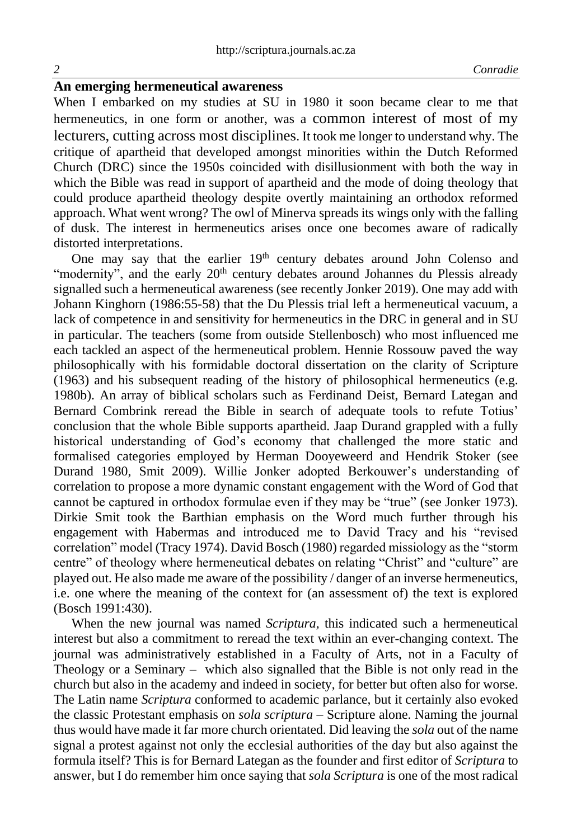# **An emerging hermeneutical awareness**

When I embarked on my studies at SU in 1980 it soon became clear to me that hermeneutics, in one form or another, was a common interest of most of my lecturers, cutting across most disciplines. It took me longer to understand why. The critique of apartheid that developed amongst minorities within the Dutch Reformed Church (DRC) since the 1950s coincided with disillusionment with both the way in which the Bible was read in support of apartheid and the mode of doing theology that could produce apartheid theology despite overtly maintaining an orthodox reformed approach. What went wrong? The owl of Minerva spreads its wings only with the falling of dusk. The interest in hermeneutics arises once one becomes aware of radically distorted interpretations.

One may say that the earlier 19<sup>th</sup> century debates around John Colenso and "modernity", and the early 20<sup>th</sup> century debates around Johannes du Plessis already signalled such a hermeneutical awareness (see recently Jonker 2019). One may add with Johann Kinghorn (1986:55-58) that the Du Plessis trial left a hermeneutical vacuum, a lack of competence in and sensitivity for hermeneutics in the DRC in general and in SU in particular. The teachers (some from outside Stellenbosch) who most influenced me each tackled an aspect of the hermeneutical problem. Hennie Rossouw paved the way philosophically with his formidable doctoral dissertation on the clarity of Scripture (1963) and his subsequent reading of the history of philosophical hermeneutics (e.g. 1980b). An array of biblical scholars such as Ferdinand Deist, Bernard Lategan and Bernard Combrink reread the Bible in search of adequate tools to refute Totius' conclusion that the whole Bible supports apartheid. Jaap Durand grappled with a fully historical understanding of God's economy that challenged the more static and formalised categories employed by Herman Dooyeweerd and Hendrik Stoker (see Durand 1980, Smit 2009). Willie Jonker adopted Berkouwer's understanding of correlation to propose a more dynamic constant engagement with the Word of God that cannot be captured in orthodox formulae even if they may be "true" (see Jonker 1973). Dirkie Smit took the Barthian emphasis on the Word much further through his engagement with Habermas and introduced me to David Tracy and his "revised correlation" model (Tracy 1974). David Bosch (1980) regarded missiology as the "storm centre" of theology where hermeneutical debates on relating "Christ" and "culture" are played out. He also made me aware of the possibility / danger of an inverse hermeneutics, i.e. one where the meaning of the context for (an assessment of) the text is explored (Bosch 1991:430).

When the new journal was named *Scriptura,* this indicated such a hermeneutical interest but also a commitment to reread the text within an ever-changing context. The journal was administratively established in a Faculty of Arts, not in a Faculty of Theology or a Seminary – which also signalled that the Bible is not only read in the church but also in the academy and indeed in society, for better but often also for worse. The Latin name *Scriptura* conformed to academic parlance, but it certainly also evoked the classic Protestant emphasis on *sola scriptura* – Scripture alone. Naming the journal thus would have made it far more church orientated. Did leaving the *sola* out of the name signal a protest against not only the ecclesial authorities of the day but also against the formula itself? This is for Bernard Lategan as the founder and first editor of *Scriptura* to answer, but I do remember him once saying that *sola Scriptura* is one of the most radical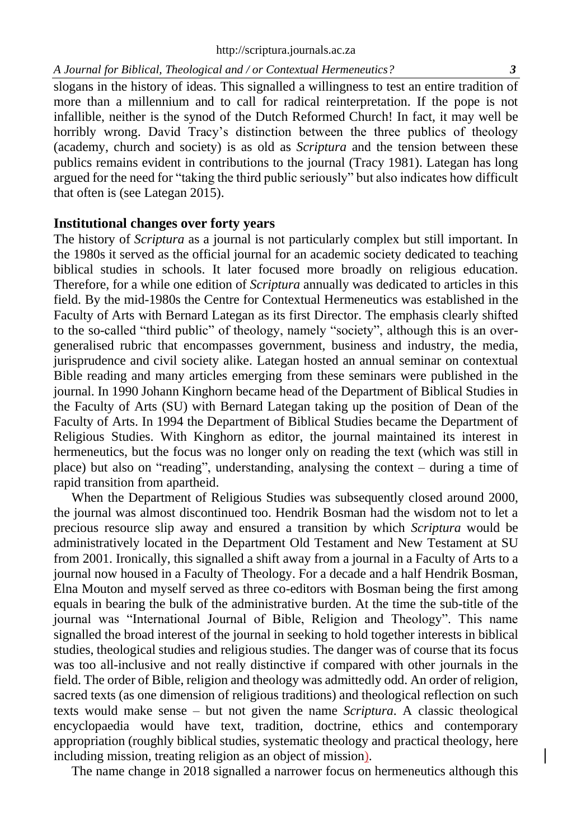slogans in the history of ideas. This signalled a willingness to test an entire tradition of more than a millennium and to call for radical reinterpretation. If the pope is not infallible, neither is the synod of the Dutch Reformed Church! In fact, it may well be horribly wrong. David Tracy's distinction between the three publics of theology (academy, church and society) is as old as *Scriptura* and the tension between these publics remains evident in contributions to the journal (Tracy 1981). Lategan has long argued for the need for "taking the third public seriously" but also indicates how difficult that often is (see Lategan 2015).

#### **Institutional changes over forty years**

The history of *Scriptura* as a journal is not particularly complex but still important. In the 1980s it served as the official journal for an academic society dedicated to teaching biblical studies in schools. It later focused more broadly on religious education. Therefore, for a while one edition of *Scriptura* annually was dedicated to articles in this field. By the mid-1980s the Centre for Contextual Hermeneutics was established in the Faculty of Arts with Bernard Lategan as its first Director. The emphasis clearly shifted to the so-called "third public" of theology, namely "society", although this is an overgeneralised rubric that encompasses government, business and industry, the media, jurisprudence and civil society alike. Lategan hosted an annual seminar on contextual Bible reading and many articles emerging from these seminars were published in the journal. In 1990 Johann Kinghorn became head of the Department of Biblical Studies in the Faculty of Arts (SU) with Bernard Lategan taking up the position of Dean of the Faculty of Arts. In 1994 the Department of Biblical Studies became the Department of Religious Studies. With Kinghorn as editor, the journal maintained its interest in hermeneutics, but the focus was no longer only on reading the text (which was still in place) but also on "reading", understanding, analysing the context – during a time of rapid transition from apartheid.

When the Department of Religious Studies was subsequently closed around 2000, the journal was almost discontinued too. Hendrik Bosman had the wisdom not to let a precious resource slip away and ensured a transition by which *Scriptura* would be administratively located in the Department Old Testament and New Testament at SU from 2001. Ironically, this signalled a shift away from a journal in a Faculty of Arts to a journal now housed in a Faculty of Theology. For a decade and a half Hendrik Bosman, Elna Mouton and myself served as three co-editors with Bosman being the first among equals in bearing the bulk of the administrative burden. At the time the sub-title of the journal was "International Journal of Bible, Religion and Theology". This name signalled the broad interest of the journal in seeking to hold together interests in biblical studies, theological studies and religious studies. The danger was of course that its focus was too all-inclusive and not really distinctive if compared with other journals in the field. The order of Bible, religion and theology was admittedly odd. An order of religion, sacred texts (as one dimension of religious traditions) and theological reflection on such texts would make sense – but not given the name *Scriptura*. A classic theological encyclopaedia would have text, tradition, doctrine, ethics and contemporary appropriation (roughly biblical studies, systematic theology and practical theology, here including mission, treating religion as an object of mission).

The name change in 2018 signalled a narrower focus on hermeneutics although this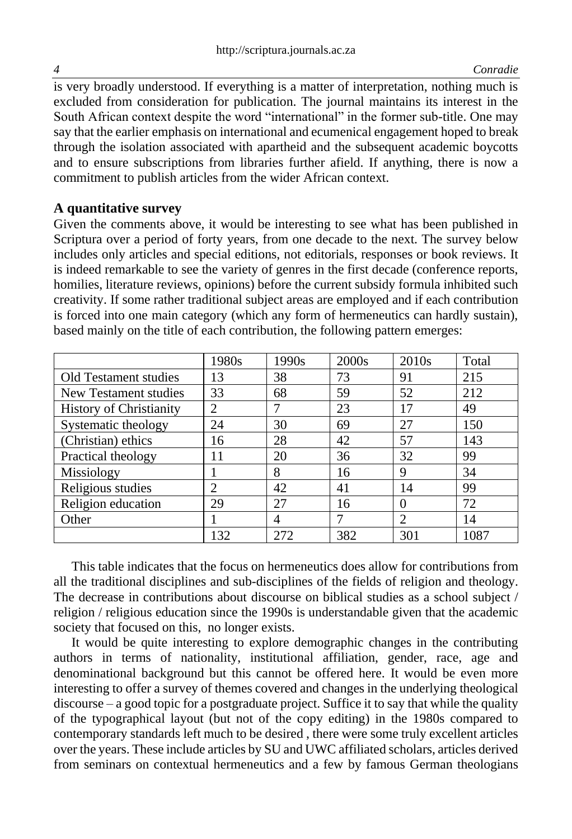is very broadly understood. If everything is a matter of interpretation, nothing much is excluded from consideration for publication. The journal maintains its interest in the South African context despite the word "international" in the former sub-title. One may say that the earlier emphasis on international and ecumenical engagement hoped to break through the isolation associated with apartheid and the subsequent academic boycotts and to ensure subscriptions from libraries further afield. If anything, there is now a commitment to publish articles from the wider African context.

## **A quantitative survey**

Given the comments above, it would be interesting to see what has been published in Scriptura over a period of forty years, from one decade to the next. The survey below includes only articles and special editions, not editorials, responses or book reviews. It is indeed remarkable to see the variety of genres in the first decade (conference reports, homilies, literature reviews, opinions) before the current subsidy formula inhibited such creativity. If some rather traditional subject areas are employed and if each contribution is forced into one main category (which any form of hermeneutics can hardly sustain), based mainly on the title of each contribution, the following pattern emerges:

|                                | 1980s          | 1990s | 2000s | 2010 <sub>s</sub> | Total |
|--------------------------------|----------------|-------|-------|-------------------|-------|
| Old Testament studies          | 13             | 38    | 73    | 91                | 215   |
| New Testament studies          | 33             | 68    | 59    | 52                | 212   |
| <b>History of Christianity</b> | 2              |       | 23    | 17                | 49    |
| Systematic theology            | 24             | 30    | 69    | 27                | 150   |
| (Christian) ethics             | 16             | 28    | 42    | 57                | 143   |
| Practical theology             | 11             | 20    | 36    | 32                | 99    |
| Missiology                     |                | 8     | 16    | 9                 | 34    |
| Religious studies              | $\mathfrak{D}$ | 42    | 41    | 14                | 99    |
| Religion education             | 29             | 27    | 16    | $\theta$          | 72    |
| Other                          |                | 4     |       | $\overline{2}$    | 14    |
|                                | 132            | 272   | 382   | 301               | 1087  |

This table indicates that the focus on hermeneutics does allow for contributions from all the traditional disciplines and sub-disciplines of the fields of religion and theology. The decrease in contributions about discourse on biblical studies as a school subject / religion / religious education since the 1990s is understandable given that the academic society that focused on this, no longer exists.

It would be quite interesting to explore demographic changes in the contributing authors in terms of nationality, institutional affiliation, gender, race, age and denominational background but this cannot be offered here. It would be even more interesting to offer a survey of themes covered and changes in the underlying theological discourse – a good topic for a postgraduate project. Suffice it to say that while the quality of the typographical layout (but not of the copy editing) in the 1980s compared to contemporary standards left much to be desired , there were some truly excellent articles over the years. These include articles by SU and UWC affiliated scholars, articles derived from seminars on contextual hermeneutics and a few by famous German theologians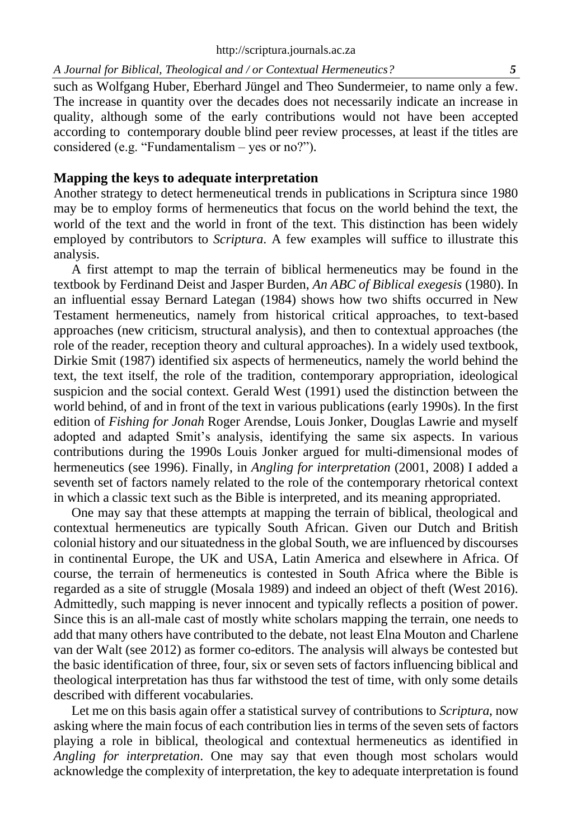#### *A Journal for Biblical, Theological and / or Contextual Hermeneutics? 5*

such as Wolfgang Huber, Eberhard Jüngel and Theo Sundermeier, to name only a few. The increase in quantity over the decades does not necessarily indicate an increase in quality, although some of the early contributions would not have been accepted according to contemporary double blind peer review processes, at least if the titles are considered (e.g. "Fundamentalism – yes or no?").

### **Mapping the keys to adequate interpretation**

Another strategy to detect hermeneutical trends in publications in Scriptura since 1980 may be to employ forms of hermeneutics that focus on the world behind the text, the world of the text and the world in front of the text. This distinction has been widely employed by contributors to *Scriptura*. A few examples will suffice to illustrate this analysis.

A first attempt to map the terrain of biblical hermeneutics may be found in the textbook by Ferdinand Deist and Jasper Burden, *An ABC of Biblical exegesis* (1980). In an influential essay Bernard Lategan (1984) shows how two shifts occurred in New Testament hermeneutics, namely from historical critical approaches, to text-based approaches (new criticism, structural analysis), and then to contextual approaches (the role of the reader, reception theory and cultural approaches). In a widely used textbook, Dirkie Smit (1987) identified six aspects of hermeneutics, namely the world behind the text, the text itself, the role of the tradition, contemporary appropriation, ideological suspicion and the social context. Gerald West (1991) used the distinction between the world behind, of and in front of the text in various publications (early 1990s). In the first edition of *Fishing for Jonah* Roger Arendse, Louis Jonker, Douglas Lawrie and myself adopted and adapted Smit's analysis, identifying the same six aspects. In various contributions during the 1990s Louis Jonker argued for multi-dimensional modes of hermeneutics (see 1996). Finally, in *Angling for interpretation* (2001, 2008) I added a seventh set of factors namely related to the role of the contemporary rhetorical context in which a classic text such as the Bible is interpreted, and its meaning appropriated.

One may say that these attempts at mapping the terrain of biblical, theological and contextual hermeneutics are typically South African. Given our Dutch and British colonial history and our situatedness in the global South, we are influenced by discourses in continental Europe, the UK and USA, Latin America and elsewhere in Africa. Of course, the terrain of hermeneutics is contested in South Africa where the Bible is regarded as a site of struggle (Mosala 1989) and indeed an object of theft (West 2016). Admittedly, such mapping is never innocent and typically reflects a position of power. Since this is an all-male cast of mostly white scholars mapping the terrain, one needs to add that many others have contributed to the debate, not least Elna Mouton and Charlene van der Walt (see 2012) as former co-editors. The analysis will always be contested but the basic identification of three, four, six or seven sets of factors influencing biblical and theological interpretation has thus far withstood the test of time, with only some details described with different vocabularies.

Let me on this basis again offer a statistical survey of contributions to *Scriptura*, now asking where the main focus of each contribution lies in terms of the seven sets of factors playing a role in biblical, theological and contextual hermeneutics as identified in *Angling for interpretation*. One may say that even though most scholars would acknowledge the complexity of interpretation, the key to adequate interpretation is found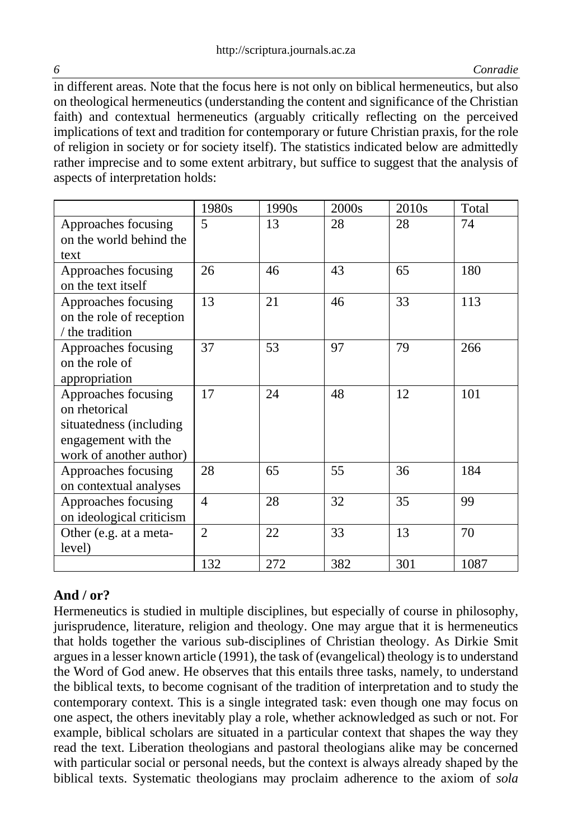*6 Conradie*

in different areas. Note that the focus here is not only on biblical hermeneutics, but also on theological hermeneutics (understanding the content and significance of the Christian faith) and contextual hermeneutics (arguably critically reflecting on the perceived implications of text and tradition for contemporary or future Christian praxis, for the role of religion in society or for society itself). The statistics indicated below are admittedly rather imprecise and to some extent arbitrary, but suffice to suggest that the analysis of aspects of interpretation holds:

|                          | 1980s          | 1990s | 2000s | 2010 <sub>s</sub> | Total |
|--------------------------|----------------|-------|-------|-------------------|-------|
| Approaches focusing      | 5              | 13    | 28    | 28                | 74    |
| on the world behind the  |                |       |       |                   |       |
| text                     |                |       |       |                   |       |
| Approaches focusing      | 26             | 46    | 43    | 65                | 180   |
| on the text itself       |                |       |       |                   |       |
| Approaches focusing      | 13             | 21    | 46    | 33                | 113   |
| on the role of reception |                |       |       |                   |       |
| / the tradition          |                |       |       |                   |       |
| Approaches focusing      | 37             | 53    | 97    | 79                | 266   |
| on the role of           |                |       |       |                   |       |
| appropriation            |                |       |       |                   |       |
| Approaches focusing      | 17             | 24    | 48    | 12                | 101   |
| on rhetorical            |                |       |       |                   |       |
| situatedness (including  |                |       |       |                   |       |
| engagement with the      |                |       |       |                   |       |
| work of another author)  |                |       |       |                   |       |
| Approaches focusing      | 28             | 65    | 55    | 36                | 184   |
| on contextual analyses   |                |       |       |                   |       |
| Approaches focusing      | $\overline{4}$ | 28    | 32    | 35                | 99    |
| on ideological criticism |                |       |       |                   |       |
| Other (e.g. at a meta-   | $\overline{2}$ | 22    | 33    | 13                | 70    |
| level)                   |                |       |       |                   |       |
|                          | 132            | 272   | 382   | 301               | 1087  |

# **And / or?**

Hermeneutics is studied in multiple disciplines, but especially of course in philosophy, jurisprudence, literature, religion and theology. One may argue that it is hermeneutics that holds together the various sub-disciplines of Christian theology. As Dirkie Smit argues in a lesser known article (1991), the task of (evangelical) theology is to understand the Word of God anew. He observes that this entails three tasks, namely, to understand the biblical texts, to become cognisant of the tradition of interpretation and to study the contemporary context. This is a single integrated task: even though one may focus on one aspect, the others inevitably play a role, whether acknowledged as such or not. For example, biblical scholars are situated in a particular context that shapes the way they read the text. Liberation theologians and pastoral theologians alike may be concerned with particular social or personal needs, but the context is always already shaped by the biblical texts. Systematic theologians may proclaim adherence to the axiom of *sola*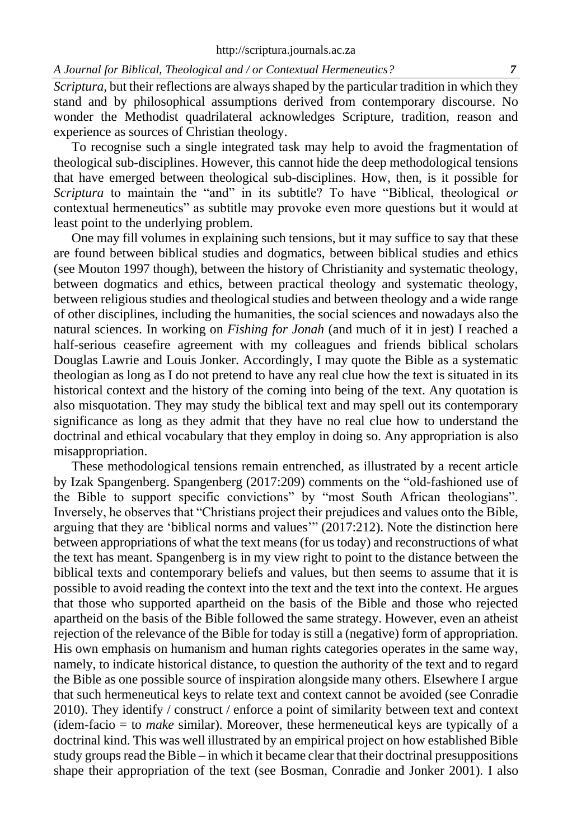### *A Journal for Biblical, Theological and / or Contextual Hermeneutics? 7*

*Scriptura,* but their reflections are always shaped by the particular tradition in which they stand and by philosophical assumptions derived from contemporary discourse. No wonder the Methodist quadrilateral acknowledges Scripture, tradition, reason and experience as sources of Christian theology.

To recognise such a single integrated task may help to avoid the fragmentation of theological sub-disciplines. However, this cannot hide the deep methodological tensions that have emerged between theological sub-disciplines. How, then, is it possible for *Scriptura* to maintain the "and" in its subtitle? To have "Biblical, theological *or* contextual hermeneutics" as subtitle may provoke even more questions but it would at least point to the underlying problem.

One may fill volumes in explaining such tensions, but it may suffice to say that these are found between biblical studies and dogmatics, between biblical studies and ethics (see Mouton 1997 though), between the history of Christianity and systematic theology, between dogmatics and ethics, between practical theology and systematic theology, between religious studies and theological studies and between theology and a wide range of other disciplines, including the humanities, the social sciences and nowadays also the natural sciences. In working on *Fishing for Jonah* (and much of it in jest) I reached a half-serious ceasefire agreement with my colleagues and friends biblical scholars Douglas Lawrie and Louis Jonker. Accordingly, I may quote the Bible as a systematic theologian as long as I do not pretend to have any real clue how the text is situated in its historical context and the history of the coming into being of the text. Any quotation is also misquotation. They may study the biblical text and may spell out its contemporary significance as long as they admit that they have no real clue how to understand the doctrinal and ethical vocabulary that they employ in doing so. Any appropriation is also misappropriation.

These methodological tensions remain entrenched, as illustrated by a recent article by Izak Spangenberg. Spangenberg (2017:209) comments on the "old-fashioned use of the Bible to support specific convictions" by "most South African theologians". Inversely, he observes that "Christians project their prejudices and values onto the Bible, arguing that they are 'biblical norms and values'" (2017:212). Note the distinction here between appropriations of what the text means (for us today) and reconstructions of what the text has meant. Spangenberg is in my view right to point to the distance between the biblical texts and contemporary beliefs and values, but then seems to assume that it is possible to avoid reading the context into the text and the text into the context. He argues that those who supported apartheid on the basis of the Bible and those who rejected apartheid on the basis of the Bible followed the same strategy. However, even an atheist rejection of the relevance of the Bible for today is still a (negative) form of appropriation. His own emphasis on humanism and human rights categories operates in the same way, namely, to indicate historical distance, to question the authority of the text and to regard the Bible as one possible source of inspiration alongside many others. Elsewhere I argue that such hermeneutical keys to relate text and context cannot be avoided (see Conradie 2010). They identify / construct / enforce a point of similarity between text and context (idem-facio = to *make* similar). Moreover, these hermeneutical keys are typically of a doctrinal kind. This was well illustrated by an empirical project on how established Bible study groups read the Bible – in which it became clear that their doctrinal presuppositions shape their appropriation of the text (see Bosman, Conradie and Jonker 2001). I also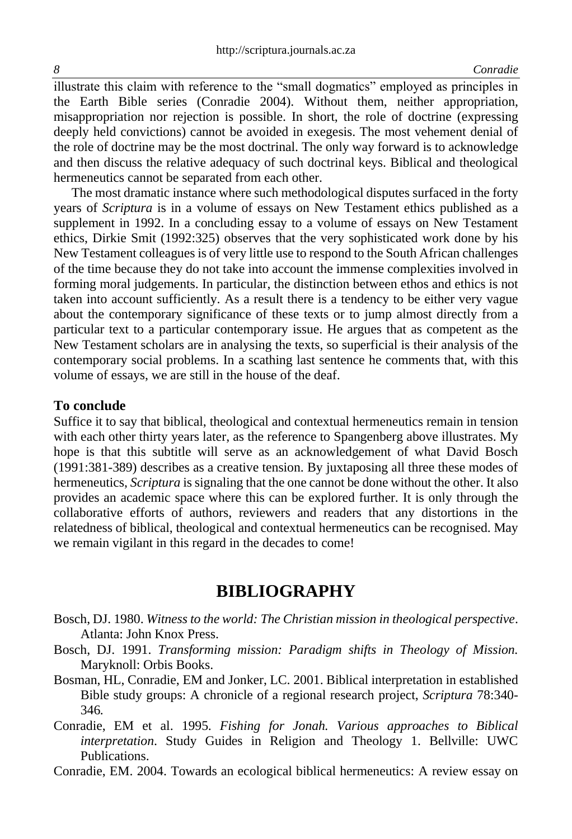illustrate this claim with reference to the "small dogmatics" employed as principles in the Earth Bible series (Conradie 2004). Without them, neither appropriation, misappropriation nor rejection is possible. In short, the role of doctrine (expressing deeply held convictions) cannot be avoided in exegesis. The most vehement denial of the role of doctrine may be the most doctrinal. The only way forward is to acknowledge and then discuss the relative adequacy of such doctrinal keys. Biblical and theological hermeneutics cannot be separated from each other.

The most dramatic instance where such methodological disputes surfaced in the forty years of *Scriptura* is in a volume of essays on New Testament ethics published as a supplement in 1992. In a concluding essay to a volume of essays on New Testament ethics, Dirkie Smit (1992:325) observes that the very sophisticated work done by his New Testament colleagues is of very little use to respond to the South African challenges of the time because they do not take into account the immense complexities involved in forming moral judgements. In particular, the distinction between ethos and ethics is not taken into account sufficiently. As a result there is a tendency to be either very vague about the contemporary significance of these texts or to jump almost directly from a particular text to a particular contemporary issue. He argues that as competent as the New Testament scholars are in analysing the texts, so superficial is their analysis of the contemporary social problems. In a scathing last sentence he comments that, with this volume of essays, we are still in the house of the deaf.

### **To conclude**

Suffice it to say that biblical, theological and contextual hermeneutics remain in tension with each other thirty years later, as the reference to Spangenberg above illustrates. My hope is that this subtitle will serve as an acknowledgement of what David Bosch (1991:381-389) describes as a creative tension. By juxtaposing all three these modes of hermeneutics, *Scriptura* is signaling that the one cannot be done without the other. It also provides an academic space where this can be explored further. It is only through the collaborative efforts of authors, reviewers and readers that any distortions in the relatedness of biblical, theological and contextual hermeneutics can be recognised. May we remain vigilant in this regard in the decades to come!

# **BIBLIOGRAPHY**

- Bosch, DJ. 1980. *Witness to the world: The Christian mission in theological perspective*. Atlanta: John Knox Press.
- Bosch, DJ. 1991. *Transforming mission: Paradigm shifts in Theology of Mission.*  Maryknoll: Orbis Books.
- Bosman, HL, Conradie, EM and Jonker, LC. 2001. Biblical interpretation in established Bible study groups: A chronicle of a regional research project, *Scriptura* 78:340- 346*.*
- Conradie, EM et al. 1995. *Fishing for Jonah. Various approaches to Biblical interpretation*. Study Guides in Religion and Theology 1. Bellville: UWC Publications.
- Conradie, EM. 2004. Towards an ecological biblical hermeneutics: A review essay on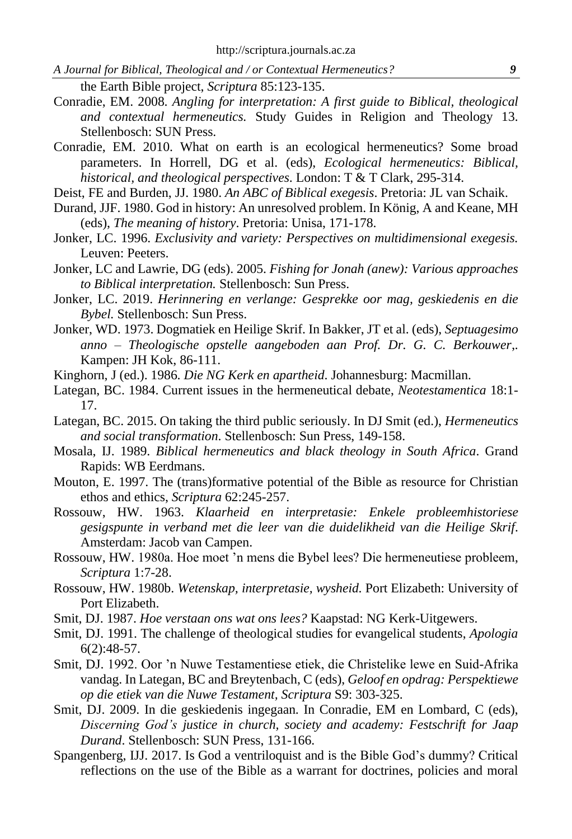*A Journal for Biblical, Theological and / or Contextual Hermeneutics? 9*

- the Earth Bible project, *Scriptura* 85:123-135.
- Conradie, EM. 2008. *Angling for interpretation: A first guide to Biblical, theological and contextual hermeneutics.* Study Guides in Religion and Theology 13. Stellenbosch: SUN Press.
- Conradie, EM. 2010. What on earth is an ecological hermeneutics? Some broad parameters. In Horrell, DG et al. (eds), *Ecological hermeneutics: Biblical, historical, and theological perspectives*. London: T & T Clark, 295-314.
- Deist, FE and Burden, JJ. 1980. *An ABC of Biblical exegesis*. Pretoria: JL van Schaik.
- Durand, JJF. 1980. God in history: An unresolved problem. In König, A and Keane, MH (eds), *The meaning of history*. Pretoria: Unisa, 171-178.
- Jonker, LC. 1996. *[Exclusivity and variety: Perspectives on multidimensional exegesis.](http://books.google.com/books?hl=en&lr=&id=8K8ES6FgvO0C&oi=fnd&pg=PA9&dq=info:cnWhhXgXll4J:scholar.google.com&ots=OhvfdpA9NP&sig=l8jvsmAuuF2N54B-2HkIi9GHPuk)*  Leuven: Peeters.
- Jonker, LC and Lawrie, DG (eds). 2005. *Fishing for Jonah (anew): Various approaches to Biblical interpretation.* Stellenbosch: Sun Press.
- Jonker, LC. 2019. *Herinnering en verlange: Gesprekke oor mag, geskiedenis en die Bybel.* Stellenbosch: Sun Press.
- Jonker, WD. 1973. Dogmatiek en Heilige Skrif. In Bakker, JT et al. (eds), *Septuagesimo anno – Theologische opstelle aangeboden aan Prof. Dr. G. C. Berkouwer*,. Kampen: JH Kok, 86-111.
- Kinghorn, J (ed.). 1986. *Die NG Kerk en apartheid*. Johannesburg: Macmillan.
- Lategan, BC. 1984. Current issues in the hermeneutical debate, *Neotestamentica* 18:1- 17.
- Lategan, BC. 2015. On taking the third public seriously. In DJ Smit (ed.), *Hermeneutics and social transformation*. Stellenbosch: Sun Press, 149-158.
- Mosala, IJ. 1989. *Biblical hermeneutics and black theology in South Africa*. Grand Rapids: WB Eerdmans.
- Mouton, E. 1997. The (trans)formative potential of the Bible as resource for Christian ethos and ethics, *Scriptura* 62:245-257.
- Rossouw, HW. 1963. *Klaarheid en interpretasie: Enkele probleemhistoriese gesigspunte in verband met die leer van die duidelikheid van die Heilige Skrif*. Amsterdam: Jacob van Campen.
- Rossouw, HW. 1980a. Hoe moet 'n mens die Bybel lees? Die hermeneutiese probleem, *Scriptura* 1:7-28.
- Rossouw, HW. 1980b. *Wetenskap, interpretasie, wysheid*. Port Elizabeth: University of Port Elizabeth.
- Smit, DJ. 1987. *Hoe verstaan ons wat ons lees?* Kaapstad: NG Kerk-Uitgewers.
- Smit, DJ. 1991. The challenge of theological studies for evangelical students, *Apologia* 6(2):48-57.
- Smit, DJ. 1992. Oor 'n Nuwe Testamentiese etiek, die Christelike lewe en Suid-Afrika vandag. In Lategan, BC and Breytenbach, C (eds), *Geloof en opdrag: Perspektiewe op die etiek van die Nuwe Testament, Scriptura* S9: 303-325.
- Smit, DJ. 2009. In die geskiedenis ingegaan. In Conradie, EM en Lombard, C (eds), *Discerning God's justice in church, society and academy: Festschrift for Jaap Durand*. Stellenbosch: SUN Press, 131-166.
- Spangenberg, IJJ. 2017. Is God a ventriloquist and is the Bible God's dummy? Critical reflections on the use of the Bible as a warrant for doctrines, policies and moral